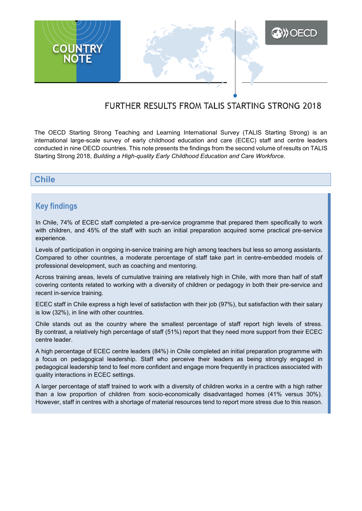

# FURTHER RESULTS FROM TALIS STARTING STRONG 2018

The OECD Starting Strong Teaching and Learning International Survey (TALIS Starting Strong) is an international large-scale survey of early childhood education and care (ECEC) staff and centre leaders conducted in nine OECD countries. This note presents the findings from the second volume of results on TALIS Starting Strong 2018, *Building a High-quality Early Childhood Education and Care Workforce*.

## **Chile**

# **Key findings**

In Chile, 74% of ECEC staff completed a pre-service programme that prepared them specifically to work with children, and 45% of the staff with such an initial preparation acquired some practical pre-service experience.

Levels of participation in ongoing in-service training are high among teachers but less so among assistants. Compared to other countries, a moderate percentage of staff take part in centre-embedded models of professional development, such as coaching and mentoring.

Across training areas, levels of cumulative training are relatively high in Chile, with more than half of staff covering contents related to working with a diversity of children or pedagogy in both their pre-service and recent in-service training.

ECEC staff in Chile express a high level of satisfaction with their job (97%), but satisfaction with their salary is low (32%), in line with other countries.

Chile stands out as the country where the smallest percentage of staff report high levels of stress. By contrast, a relatively high percentage of staff (51%) report that they need more support from their ECEC centre leader.

A high percentage of ECEC centre leaders (84%) in Chile completed an initial preparation programme with a focus on pedagogical leadership. Staff who perceive their leaders as being strongly engaged in pedagogical leadership tend to feel more confident and engage more frequently in practices associated with quality interactions in ECEC settings.

A larger percentage of staff trained to work with a diversity of children works in a centre with a high rather than a low proportion of children from socio-economically disadvantaged homes (41% versus 30%). However, staff in centres with a shortage of material resources tend to report more stress due to this reason.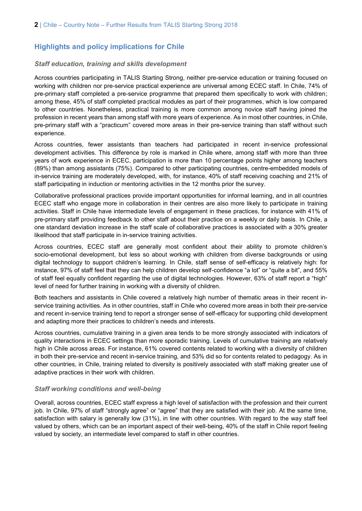# **Highlights and policy implications for Chile**

#### *Staff education, training and skills development*

Across countries participating in TALIS Starting Strong, neither pre-service education or training focused on working with children nor pre-service practical experience are universal among ECEC staff. In Chile, 74% of pre-primary staff completed a pre-service programme that prepared them specifically to work with children; among these, 45% of staff completed practical modules as part of their programmes, which is low compared to other countries. Nonetheless, practical training is more common among novice staff having joined the profession in recent years than among staff with more years of experience. As in most other countries, in Chile, pre-primary staff with a "practicum" covered more areas in their pre-service training than staff without such experience.

Across countries, fewer assistants than teachers had participated in recent in-service professional development activities. This difference by role is marked in Chile where, among staff with more than three years of work experience in ECEC, participation is more than 10 percentage points higher among teachers (89%) than among assistants (75%). Compared to other participating countries, centre-embedded models of in-service training are moderately developed, with, for instance, 40% of staff receiving coaching and 21% of staff participating in induction or mentoring activities in the 12 months prior the survey.

Collaborative professional practices provide important opportunities for informal learning, and in all countries ECEC staff who engage more in collaboration in their centres are also more likely to participate in training activities. Staff in Chile have intermediate levels of engagement in these practices, for instance with 41% of pre-primary staff providing feedback to other staff about their practice on a weekly or daily basis. In Chile, a one standard deviation increase in the staff scale of collaborative practices is associated with a 30% greater likelihood that staff participate in in-service training activities.

Across countries, ECEC staff are generally most confident about their ability to promote children's socio-emotional development, but less so about working with children from diverse backgrounds or using digital technology to support children's learning. In Chile, staff sense of self-efficacy is relatively high: for instance, 97% of staff feel that they can help children develop self-confidence "a lot" or "quite a bit", and 55% of staff feel equally confident regarding the use of digital technologies. However, 63% of staff report a "high" level of need for further training in working with a diversity of children.

Both teachers and assistants in Chile covered a relatively high number of thematic areas in their recent inservice training activities. As in other countries, staff in Chile who covered more areas in both their pre-service and recent in-service training tend to report a stronger sense of self-efficacy for supporting child development and adapting more their practices to children's needs and interests.

Across countries, cumulative training in a given area tends to be more strongly associated with indicators of quality interactions in ECEC settings than more sporadic training. Levels of cumulative training are relatively high in Chile across areas. For instance, 61% covered contents related to working with a diversity of children in both their pre-service and recent in-service training, and 53% did so for contents related to pedagogy. As in other countries, in Chile, training related to diversity is positively associated with staff making greater use of adaptive practices in their work with children.

#### *Staff working conditions and well-being*

Overall, across countries, ECEC staff express a high level of satisfaction with the profession and their current job. In Chile, 97% of staff "strongly agree" or "agree" that they are satisfied with their job. At the same time, satisfaction with salary is generally low (31%), in line with other countries. With regard to the way staff feel valued by others, which can be an important aspect of their well-being, 40% of the staff in Chile report feeling valued by society, an intermediate level compared to staff in other countries.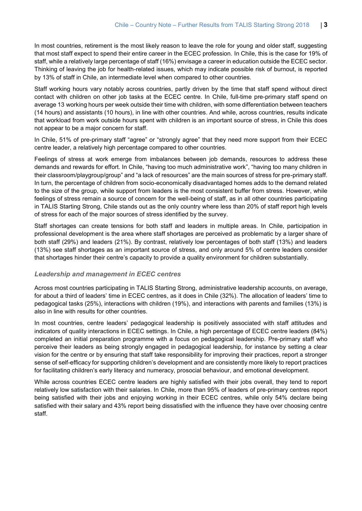In most countries, retirement is the most likely reason to leave the role for young and older staff, suggesting that most staff expect to spend their entire career in the ECEC profession. In Chile, this is the case for 19% of staff, while a relatively large percentage of staff (16%) envisage a career in education outside the ECEC sector. Thinking of leaving the job for health-related issues, which may indicate possible risk of burnout, is reported by 13% of staff in Chile, an intermediate level when compared to other countries.

Staff working hours vary notably across countries, partly driven by the time that staff spend without direct contact with children on other job tasks at the ECEC centre. In Chile, full-time pre-primary staff spend on average 13 working hours per week outside their time with children, with some differentiation between teachers (14 hours) and assistants (10 hours), in line with other countries. And while, across countries, results indicate that workload from work outside hours spent with children is an important source of stress, in Chile this does not appear to be a major concern for staff.

In Chile, 51% of pre-primary staff "agree" or "strongly agree" that they need more support from their ECEC centre leader, a relatively high percentage compared to other countries.

Feelings of stress at work emerge from imbalances between job demands, resources to address these demands and rewards for effort. In Chile, "having too much administrative work", "having too many children in their classroom/playgroup/group" and "a lack of resources" are the main sources of stress for pre-primary staff. In turn, the percentage of children from socio-economically disadvantaged homes adds to the demand related to the size of the group, while support from leaders is the most consistent buffer from stress. However, while feelings of stress remain a source of concern for the well-being of staff, as in all other countries participating in TALIS Starting Strong, Chile stands out as the only country where less than 20% of staff report high levels of stress for each of the major sources of stress identified by the survey.

Staff shortages can create tensions for both staff and leaders in multiple areas. In Chile, participation in professional development is the area where staff shortages are perceived as problematic by a larger share of both staff (29%) and leaders (21%). By contrast, relatively low percentages of both staff (13%) and leaders (13%) see staff shortages as an important source of stress, and only around 5% of centre leaders consider that shortages hinder their centre's capacity to provide a quality environment for children substantially.

#### *Leadership and management in ECEC centres*

Across most countries participating in TALIS Starting Strong, administrative leadership accounts, on average, for about a third of leaders' time in ECEC centres, as it does in Chile (32%). The allocation of leaders' time to pedagogical tasks (25%), interactions with children (19%), and interactions with parents and families (13%) is also in line with results for other countries.

In most countries, centre leaders' pedagogical leadership is positively associated with staff attitudes and indicators of quality interactions in ECEC settings. In Chile, a high percentage of ECEC centre leaders (84%) completed an initial preparation programme with a focus on pedagogical leadership. Pre-primary staff who perceive their leaders as being strongly engaged in pedagogical leadership, for instance by setting a clear vision for the centre or by ensuring that staff take responsibility for improving their practices, report a stronger sense of self-efficacy for supporting children's development and are consistently more likely to report practices for facilitating children's early literacy and numeracy, prosocial behaviour, and emotional development.

While across countries ECEC centre leaders are highly satisfied with their jobs overall, they tend to report relatively low satisfaction with their salaries. In Chile, more than 95% of leaders of pre-primary centres report being satisfied with their jobs and enjoying working in their ECEC centres, while only 54% declare being satisfied with their salary and 43% report being dissatisfied with the influence they have over choosing centre staff.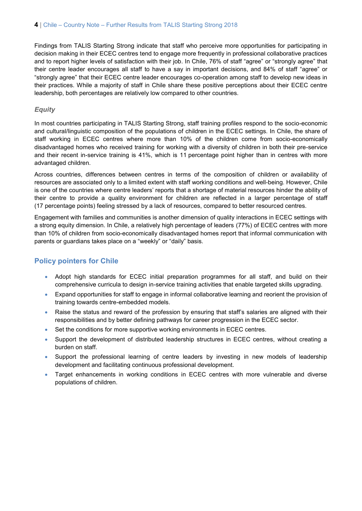Findings from TALIS Starting Strong indicate that staff who perceive more opportunities for participating in decision making in their ECEC centres tend to engage more frequently in professional collaborative practices and to report higher levels of satisfaction with their job. In Chile, 76% of staff "agree" or "strongly agree" that their centre leader encourages all staff to have a say in important decisions, and 84% of staff "agree" or "strongly agree" that their ECEC centre leader encourages co-operation among staff to develop new ideas in their practices. While a majority of staff in Chile share these positive perceptions about their ECEC centre leadership, both percentages are relatively low compared to other countries.

#### *Equity*

In most countries participating in TALIS Starting Strong, staff training profiles respond to the socio-economic and cultural/linguistic composition of the populations of children in the ECEC settings. In Chile, the share of staff working in ECEC centres where more than 10% of the children come from socio-economically disadvantaged homes who received training for working with a diversity of children in both their pre-service and their recent in-service training is 41%, which is 11 percentage point higher than in centres with more advantaged children.

Across countries, differences between centres in terms of the composition of children or availability of resources are associated only to a limited extent with staff working conditions and well-being. However, Chile is one of the countries where centre leaders' reports that a shortage of material resources hinder the ability of their centre to provide a quality environment for children are reflected in a larger percentage of staff (17 percentage points) feeling stressed by a lack of resources, compared to better resourced centres.

Engagement with families and communities is another dimension of quality interactions in ECEC settings with a strong equity dimension. In Chile, a relatively high percentage of leaders (77%) of ECEC centres with more than 10% of children from socio-economically disadvantaged homes report that informal communication with parents or guardians takes place on a "weekly" or "daily" basis.

### **Policy pointers for Chile**

- Adopt high standards for ECEC initial preparation programmes for all staff, and build on their comprehensive curricula to design in-service training activities that enable targeted skills upgrading.
- Expand opportunities for staff to engage in informal collaborative learning and reorient the provision of training towards centre-embedded models.
- Raise the status and reward of the profession by ensuring that staff's salaries are aligned with their responsibilities and by better defining pathways for career progression in the ECEC sector.
- Set the conditions for more supportive working environments in ECEC centres.
- Support the development of distributed leadership structures in ECEC centres, without creating a burden on staff.
- Support the professional learning of centre leaders by investing in new models of leadership development and facilitating continuous professional development.
- Target enhancements in working conditions in ECEC centres with more vulnerable and diverse populations of children.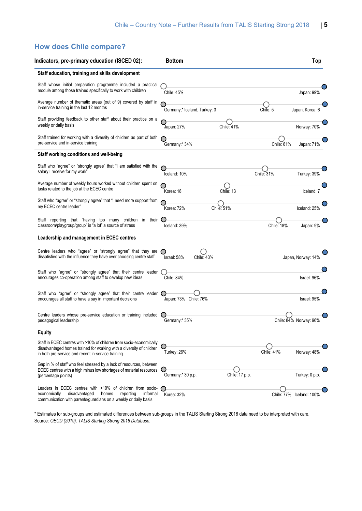# **How does Chile compare?**

| Indicators, pre-primary education (ISCED 02):                                                                                                                                                     | <b>Bottom</b>                       | Top                         |
|---------------------------------------------------------------------------------------------------------------------------------------------------------------------------------------------------|-------------------------------------|-----------------------------|
| Staff education, training and skills development                                                                                                                                                  |                                     |                             |
| Staff whose initial preparation programme included a practical<br>module among those trained specifically to work with children                                                                   | Chile: 45%                          | Japan: 99%                  |
| Average number of thematic areas (out of 9) covered by staff in<br>in-service training in the last 12 months                                                                                      | Germany,* Iceland, Turkey: 3        | Chile: 5<br>Japan, Korea: 6 |
| Staff providing feedback to other staff about their practice on a<br>weekly or daily basis                                                                                                        | Chile: 41%<br>Japan: 27%            | Norway: 70%                 |
| Staff trained for working with a diversity of children as part of both<br>pre-service and in-service training                                                                                     | Germany:* 34%                       | Chile: 61%<br>Japan: 71%    |
| Staff working conditions and well-being                                                                                                                                                           |                                     |                             |
| Staff who "agree" or "strongly agree" that "I am satisfied with the<br>salary I receive for my work"                                                                                              | Iceland: 10%                        | Chile: 31%<br>Turkey: 39%   |
| Average number of weekly hours worked without children spent on<br>tasks related to the job at the ECEC centre                                                                                    | Chile: 13<br>Korea: 18              | Iceland: 7                  |
| Staff who "agree" or "strongly agree" that "I need more support from<br>my ECEC centre leader"                                                                                                    | Korea: 72%<br>Chile: 51%            | Iceland: 25%                |
| Staff reporting that "having too many children in their<br>classroom/playgroup/group" is "a lot" a source of stress                                                                               | Iceland: 39%                        | Chile: 18%<br>Japan: 9%     |
| Leadership and management in ECEC centres                                                                                                                                                         |                                     |                             |
| Centre leaders who "agree" or "strongly agree" that they are (<br>dissatisfied with the influence they have over choosing centre staff                                                            | Israel: 58%<br>Chile: 43%           | Japan, Norway: 14%          |
| Staff who "agree" or "strongly agree" that their centre leader<br>encourages co-operation among staff to develop new ideas                                                                        | Chile: 84%                          | Israel: 96%                 |
| Staff who "agree" or "strongly agree" that their centre leader $\bigcap$<br>encourages all staff to have a say in important decisions                                                             | Japan: 73% Chile: 76%               | Israel: 95%                 |
| Centre leaders whose pre-service education or training included<br>pedagogical leadership                                                                                                         | Germany:* 35%                       | Chile: 84% Norway: 96%      |
| <b>Equity</b>                                                                                                                                                                                     |                                     |                             |
| Staff in ECEC centres with >10% of children from socio-economically<br>disadvantaged homes trained for working with a diversity of children<br>in both pre-service and recent in-service training | Turkey: 26%                         | Chile: 41%<br>Norway: 48%   |
| Gap in % of staff who feel stressed by a lack of resources, between<br>ECEC centres with a high minus low shortages of material resources<br>(percentage points)                                  | Germany:* 30 p.p.<br>Chile: 17 p.p. | Turkey: 0 p.p.              |
| Leaders in ECEC centres with >10% of children from socio-<br>economically<br>disadvantaged<br>reporting<br>homes<br>informal<br>communication with parents/guardians on a weekly or daily basis   | Korea: 32%                          | Chile: 77% Iceland: 100%    |

\* Estimates for sub-groups and estimated differences between sub-groups in the TALIS Starting Strong 2018 data need to be interpreted with care. Source: *OECD (2019), TALIS Starting Strong 2018 Database.*